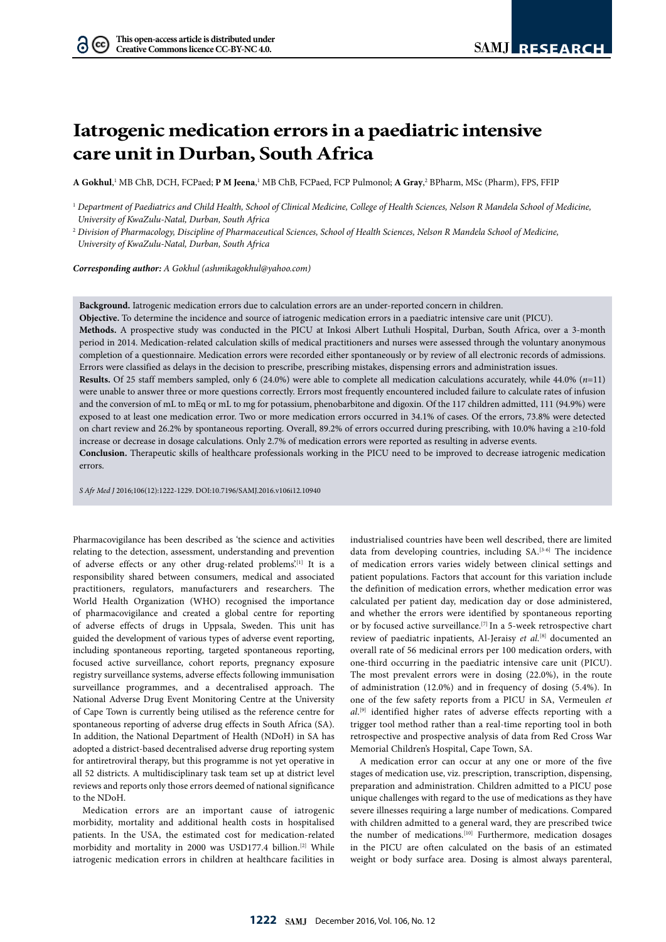$(cc)$ 

# **Iatrogenic medication errors in a paediatric intensive care unit in Durban, South Africa**

 $A$  Gokhul,<sup>1</sup> MB ChB, DCH, FCPaed; P M Jeena,<sup>1</sup> MB ChB, FCPaed, FCP Pulmonol; A Gray,<sup>2</sup> BPharm, MSc (Pharm), FPS, FFIP

<sup>2</sup> *Division of Pharmacology, Discipline of Pharmaceutical Sciences, School of Health Sciences, Nelson R Mandela School of Medicine, University of KwaZulu-Natal, Durban, South Africa*

*Corresponding author: A Gokhul (ashmikagokhul@yahoo.com)*

**Background.** Iatrogenic medication errors due to calculation errors are an under-reported concern in children.

**Objective.** To determine the incidence and source of iatrogenic medication errors in a paediatric intensive care unit (PICU).

**Methods.** A prospective study was conducted in the PICU at Inkosi Albert Luthuli Hospital, Durban, South Africa, over a 3-month period in 2014. Medication-related calculation skills of medical practitioners and nurses were assessed through the voluntary anonymous completion of a questionnaire. Medication errors were recorded either spontaneously or by review of all electronic records of admissions. Errors were classified as delays in the decision to prescribe, prescribing mistakes, dispensing errors and administration issues.

**Results.** Of 25 staff members sampled, only 6 (24.0%) were able to complete all medication calculations accurately, while 44.0% (*n*=11) were unable to answer three or more questions correctly. Errors most frequently encountered included failure to calculate rates of infusion and the conversion of mL to mEq or mL to mg for potassium, phenobarbitone and digoxin. Of the 117 children admitted, 111 (94.9%) were exposed to at least one medication error. Two or more medication errors occurred in 34.1% of cases. Of the errors, 73.8% were detected on chart review and 26.2% by spontaneous reporting. Overall, 89.2% of errors occurred during prescribing, with 10.0% having a ≥10-fold increase or decrease in dosage calculations. Only 2.7% of medication errors were reported as resulting in adverse events.

**Conclusion.** Therapeutic skills of healthcare professionals working in the PICU need to be improved to decrease iatrogenic medication errors.

*S Afr Med J* 2016;106(12):1222-1229. DOI:10.7196/SAMJ.2016.v106i12.10940

Pharmacovigilance has been described as 'the science and activities relating to the detection, assessment, understanding and prevention of adverse effects or any other drug-related problems'.<sup>[1]</sup> It is a responsibility shared between consumers, medical and associated practitioners, regulators, manufacturers and researchers. The World Health Organization (WHO) recognised the importance of pharmacovigilance and created a global centre for reporting of adverse effects of drugs in Uppsala, Sweden. This unit has guided the development of various types of adverse event reporting, including spontaneous reporting, targeted spontaneous reporting, focused active surveillance, cohort reports, pregnancy exposure registry surveillance systems, adverse effects following immunisation surveillance programmes, and a decentralised approach. The National Adverse Drug Event Monitoring Centre at the University of Cape Town is currently being utilised as the reference centre for spontaneous reporting of adverse drug effects in South Africa (SA). In addition, the National Department of Health (NDoH) in SA has adopted a district-based decentralised adverse drug reporting system for antiretroviral therapy, but this programme is not yet operative in all 52 districts. A multidisciplinary task team set up at district level reviews and reports only those errors deemed of national significance to the NDoH.

Medication errors are an important cause of iatrogenic morbidity, mortality and additional health costs in hospitalised patients. In the USA, the estimated cost for medication-related morbidity and mortality in 2000 was USD177.4 billion.<sup>[2]</sup> While iatrogenic medication errors in children at healthcare facilities in

industrialised countries have been well described, there are limited data from developing countries, including SA.<sup>[3-6]</sup> The incidence of medication errors varies widely between clinical settings and patient populations. Factors that account for this variation include the definition of medication errors, whether medication error was calculated per patient day, medication day or dose administered, and whether the errors were identified by spontaneous reporting or by focused active surveillance. $^{[7]}$  In a 5-week retrospective chart review of paediatric inpatients, Al-Jeraisy *et al.*<sup>[8]</sup> documented an overall rate of 56 medicinal errors per 100 medication orders, with one-third occurring in the paediatric intensive care unit (PICU). The most prevalent errors were in dosing (22.0%), in the route of administration (12.0%) and in frequency of dosing (5.4%). In one of the few safety reports from a PICU in SA, Vermeulen *et al*. [9] identified higher rates of adverse effects reporting with a trigger tool method rather than a real-time reporting tool in both retrospective and prospective analysis of data from Red Cross War Memorial Children's Hospital, Cape Town, SA.

A medication error can occur at any one or more of the five stages of medication use, viz. prescription, transcription, dispensing, preparation and administration. Children admitted to a PICU pose unique challenges with regard to the use of medications as they have severe illnesses requiring a large number of medications. Compared with children admitted to a general ward, they are prescribed twice the number of medications.<sup>[10]</sup> Furthermore, medication dosages in the PICU are often calculated on the basis of an estimated weight or body surface area. Dosing is almost always parenteral,

<sup>1</sup> *Department of Paediatrics and Child Health, School of Clinical Medicine, College of Health Sciences, Nelson R Mandela School of Medicine, University of KwaZulu-Natal, Durban, South Africa*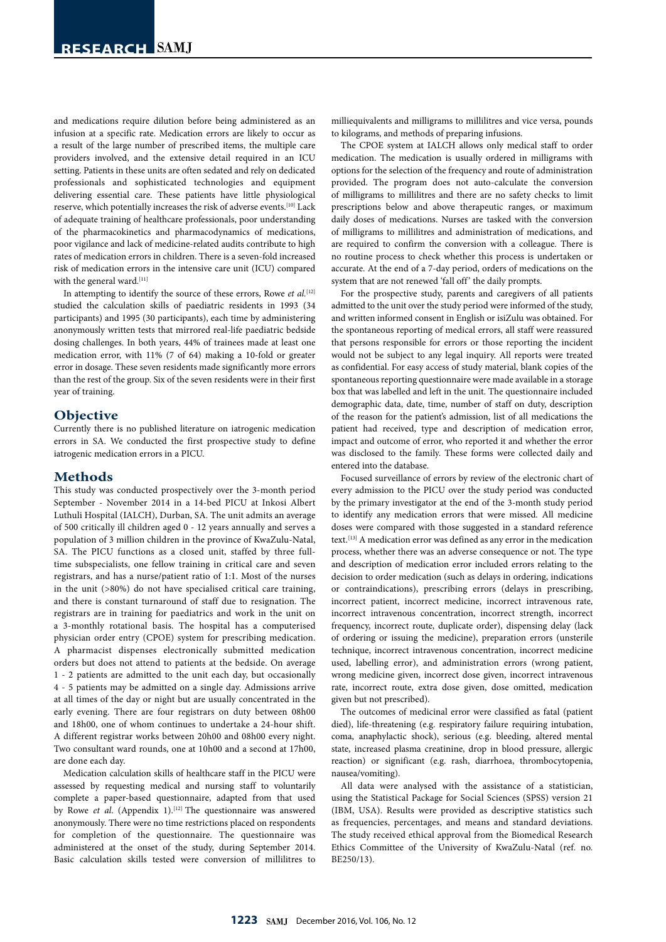and medications require dilution before being administered as an infusion at a specific rate. Medication errors are likely to occur as a result of the large number of prescribed items, the multiple care providers involved, and the extensive detail required in an ICU setting. Patients in these units are often sedated and rely on dedicated professionals and sophisticated technologies and equipment delivering essential care. These patients have little physiological reserve, which potentially increases the risk of adverse events.[10] Lack of adequate training of healthcare professionals, poor understanding of the pharmacokinetics and pharmacodynamics of medications, poor vigilance and lack of medicine-related audits contribute to high rates of medication errors in children. There is a seven-fold increased risk of medication errors in the intensive care unit (ICU) compared with the general ward.  $\rm ^{\rm [11]}$ 

In attempting to identify the source of these errors, Rowe *et al.*[12] studied the calculation skills of paediatric residents in 1993 (34 participants) and 1995 (30 participants), each time by administering anonymously written tests that mirrored real-life paediatric bedside dosing challenges. In both years, 44% of trainees made at least one medication error, with 11% (7 of 64) making a 10-fold or greater error in dosage. These seven residents made significantly more errors than the rest of the group. Six of the seven residents were in their first year of training.

#### **Objective**

Currently there is no published literature on iatrogenic medication errors in SA. We conducted the first prospective study to define iatrogenic medication errors in a PICU.

### **Methods**

This study was conducted prospectively over the 3-month period September - November 2014 in a 14-bed PICU at Inkosi Albert Luthuli Hospital (IALCH), Durban, SA. The unit admits an average of 500 critically ill children aged 0 - 12 years annually and serves a population of 3 million children in the province of KwaZulu-Natal, SA. The PICU functions as a closed unit, staffed by three fulltime subspecialists, one fellow training in critical care and seven registrars, and has a nurse/patient ratio of 1:1. Most of the nurses in the unit (>80%) do not have specialised critical care training, and there is constant turnaround of staff due to resignation. The registrars are in training for paediatrics and work in the unit on a 3-monthly rotational basis. The hospital has a computerised physician order entry (CPOE) system for prescribing medication. A pharmacist dispenses electronically submitted medication orders but does not attend to patients at the bedside. On average 1 - 2 patients are admitted to the unit each day, but occasionally 4 - 5 patients may be admitted on a single day. Admissions arrive at all times of the day or night but are usually concentrated in the early evening. There are four registrars on duty between 08h00 and 18h00, one of whom continues to undertake a 24-hour shift. A different registrar works between 20h00 and 08h00 every night. Two consultant ward rounds, one at 10h00 and a second at 17h00, are done each day.

Medication calculation skills of healthcare staff in the PICU were assessed by requesting medical and nursing staff to voluntarily complete a paper-based questionnaire, adapted from that used by Rowe et al. (Appendix 1).<sup>[12]</sup> The questionnaire was answered anonymously. There were no time restrictions placed on respondents for completion of the questionnaire. The questionnaire was administered at the onset of the study, during September 2014. Basic calculation skills tested were conversion of millilitres to

milliequivalents and milligrams to millilitres and vice versa, pounds to kilograms, and methods of preparing infusions.

The CPOE system at IALCH allows only medical staff to order medication. The medication is usually ordered in milligrams with options for the selection of the frequency and route of administration provided. The program does not auto-calculate the conversion of milligrams to millilitres and there are no safety checks to limit prescriptions below and above therapeutic ranges, or maximum daily doses of medications. Nurses are tasked with the conversion of milligrams to millilitres and administration of medications, and are required to confirm the conversion with a colleague. There is no routine process to check whether this process is undertaken or accurate. At the end of a 7-day period, orders of medications on the system that are not renewed 'fall off' the daily prompts.

For the prospective study, parents and caregivers of all patients admitted to the unit over the study period were informed of the study, and written informed consent in English or isiZulu was obtained. For the spontaneous reporting of medical errors, all staff were reassured that persons responsible for errors or those reporting the incident would not be subject to any legal inquiry. All reports were treated as confidential. For easy access of study material, blank copies of the spontaneous reporting questionnaire were made available in a storage box that was labelled and left in the unit. The questionnaire included demographic data, date, time, number of staff on duty, description of the reason for the patient's admission, list of all medications the patient had received, type and description of medication error, impact and outcome of error, who reported it and whether the error was disclosed to the family. These forms were collected daily and entered into the database.

Focused surveillance of errors by review of the electronic chart of every admission to the PICU over the study period was conducted by the primary investigator at the end of the 3-month study period to identify any medication errors that were missed. All medicine doses were compared with those suggested in a standard reference text.[13] A medication error was defined as any error in the medication process, whether there was an adverse consequence or not. The type and description of medication error included errors relating to the decision to order medication (such as delays in ordering, indications or contraindications), prescribing errors (delays in prescribing, incorrect patient, incorrect medicine, incorrect intravenous rate, incorrect intravenous concentration, incorrect strength, incorrect frequency, incorrect route, duplicate order), dispensing delay (lack of ordering or issuing the medicine), preparation errors (unsterile technique, incorrect intravenous concentration, incorrect medicine used, labelling error), and administration errors (wrong patient, wrong medicine given, incorrect dose given, incorrect intravenous rate, incorrect route, extra dose given, dose omitted, medication given but not prescribed).

The outcomes of medicinal error were classified as fatal (patient died), life-threatening (e.g. respiratory failure requiring intubation, coma, anaphylactic shock), serious (e.g. bleeding, altered mental state, increased plasma creatinine, drop in blood pressure, allergic reaction) or significant (e.g. rash, diarrhoea, thrombocytopenia, nausea/vomiting).

All data were analysed with the assistance of a statistician, using the Statistical Package for Social Sciences (SPSS) version 21 (IBM, USA). Results were provided as descriptive statistics such as frequencies, percentages, and means and standard deviations. The study received ethical approval from the Biomedical Research Ethics Committee of the University of KwaZulu-Natal (ref. no. BE250/13).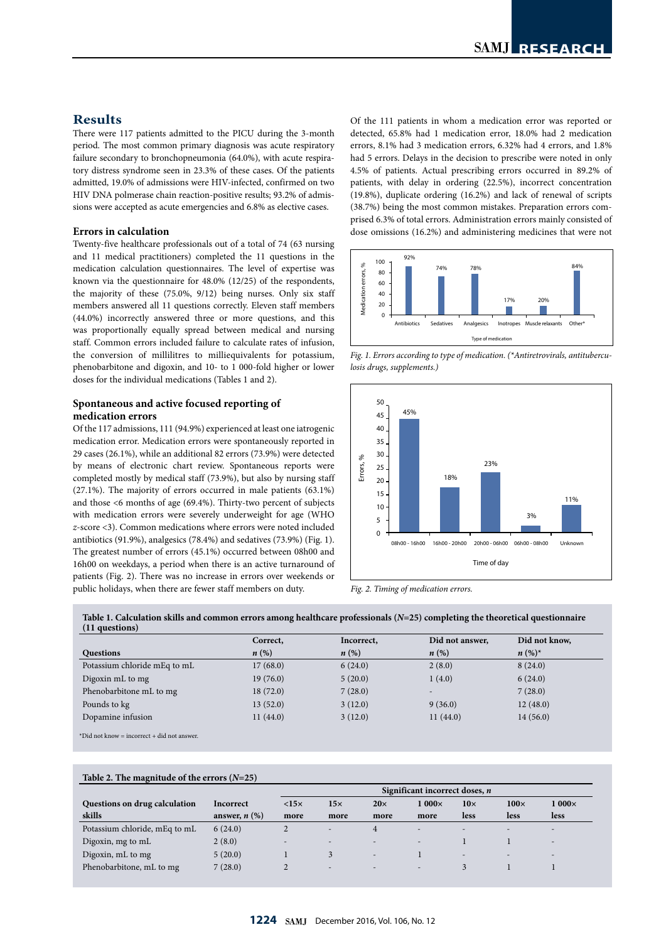# **Results**

There were 117 patients admitted to the PICU during the 3-month period. The most common primary diagnosis was acute respiratory failure secondary to bronchopneumonia (64.0%), with acute respiratory distress syndrome seen in 23.3% of these cases. Of the patients admitted, 19.0% of admissions were HIV-infected, confirmed on two HIV DNA polmerase chain reaction-positive results; 93.2% of admissions were accepted as acute emergencies and 6.8% as elective cases.

#### **Errors in calculation**

Twenty-five healthcare professionals out of a total of 74 (63 nursing and 11 medical practitioners) completed the 11 questions in the medication calculation questionnaires. The level of expertise was known via the questionnaire for 48.0% (12/25) of the respondents, the majority of these (75.0%, 9/12) being nurses. Only six staff members answered all 11 questions correctly. Eleven staff members (44.0%) incorrectly answered three or more questions, and this was proportionally equally spread between medical and nursing staff. Common errors included failure to calculate rates of infusion, the conversion of millilitres to milliequivalents for potassium, phenobarbitone and digoxin, and 10- to 1 000-fold higher or lower doses for the individual medications (Tables 1 and 2). gees<br>s, ff<br>s

#### **Spontaneous and active focused reporting of medication errors**

Of the 117 admissions, 111 (94.9%) experienced at least one iatrogenic medication error. Medication errors were spontaneously reported in 29 cases (26.1%), while an additional 82 errors (73.9%) were detected by means of electronic chart review. Spontaneous reports were completed mostly by medical staff (73.9%), but also by nursing staff (27.1%). The majority of errors occurred in male patients (63.1%) and those <6 months of age (69.4%). Thirty-two percent of subjects with medication errors were severely underweight for age (WHO *z*-score <3). Common medications where errors were noted included antibiotics (91.9%), analgesics (78.4%) and sedatives (73.9%) (Fig. 1). The greatest number of errors (45.1%) occurred between 08h00 and 16h00 on weekdays, a period when there is an active turnaround of patients (Fig. 2). There was no increase in errors over weekends or public holidays, when there are fewer staff members on duty.

Of the 111 patients in whom a medication error was reported or detected, 65.8% had 1 medication error, 18.0% had 2 medication errors, 8.1% had 3 medication errors, 6.32% had 4 errors, and 1.8% had 5 errors. Delays in the decision to prescribe were noted in only 4.5% of patients. Actual prescribing errors occurred in 89.2% of patients, with delay in ordering (22.5%), incorrect concentration (19.8%), duplicate ordering (16.2%) and lack of renewal of scripts (38.7%) being the most common mistakes. Preparation errors comprised 6.3% of total errors. Administration errors mainly consisted of dose omissions (16.2%) and administering medicines that were not



Fig. 1. Errors according to type of medication. (\*Antiretrovirals, antitubercu*losis drugs, supplements.)*





### **Table 1. Calculation skills and common errors among healthcare professionals (***N***=25) completing the theoretical questionnaire**

|                              | Correct, | Incorrect,         | Did not answer,          | Did not know, |
|------------------------------|----------|--------------------|--------------------------|---------------|
| Questions                    | n(%)     | $n\left(\%\right)$ | $n(\%)$                  | $n (%)^*$     |
| Potassium chloride mEq to mL | 17(68.0) | 6(24.0)            | 2(8.0)                   | 8(24.0)       |
| Digoxin mL to mg             | 19(76.0) | 5(20.0)            | 1(4.0)                   | 6(24.0)       |
| Phenobarbitone mL to mg      | 18(72.0) | 7(28.0)            | $\overline{\phantom{0}}$ | 7(28.0)       |
| Pounds to kg                 | 13(52.0) | 3(12.0)            | 9(36.0)                  | 12(48.0)      |
| Dopamine infusion            | 11(44.0) | 3(12.0)            | 11(44.0)                 | 14(56.0)      |

\*Did not know = incorrect + did not answer.

#### **Table 2. The magnitude of the errors (***N***=25)**

|                               |                    | Significant incorrect doses, $n$ |                          |                          |                          |                          |                          |                          |
|-------------------------------|--------------------|----------------------------------|--------------------------|--------------------------|--------------------------|--------------------------|--------------------------|--------------------------|
| Questions on drug calculation | <b>Incorrect</b>   | $<15\times$                      | $15\times$               | $20\times$               | $1000\times$             | $10\times$               | $100\times$              | $1000\times$             |
| skills                        | answer, $n$ $(\%)$ | more                             | more                     | more                     | more                     | <b>less</b>              | less                     | <b>less</b>              |
| Potassium chloride, mEq to mL | 6(24.0)            |                                  | $\overline{\phantom{a}}$ | 4                        | $\overline{\phantom{a}}$ |                          | -                        |                          |
| Digoxin, mg to mL             | 2(8.0)             | $\overline{\phantom{a}}$         |                          | $\overline{\phantom{a}}$ | $\overline{\phantom{a}}$ |                          |                          |                          |
| Digoxin, mL to mg             | 5(20.0)            |                                  |                          | $\overline{\phantom{a}}$ |                          | $\overline{\phantom{a}}$ | $\overline{\phantom{a}}$ | $\overline{\phantom{0}}$ |
| Phenobarbitone, mL to mg      | 7(28.0)            |                                  |                          | $\overline{\phantom{a}}$ | $\overline{\phantom{a}}$ |                          |                          |                          |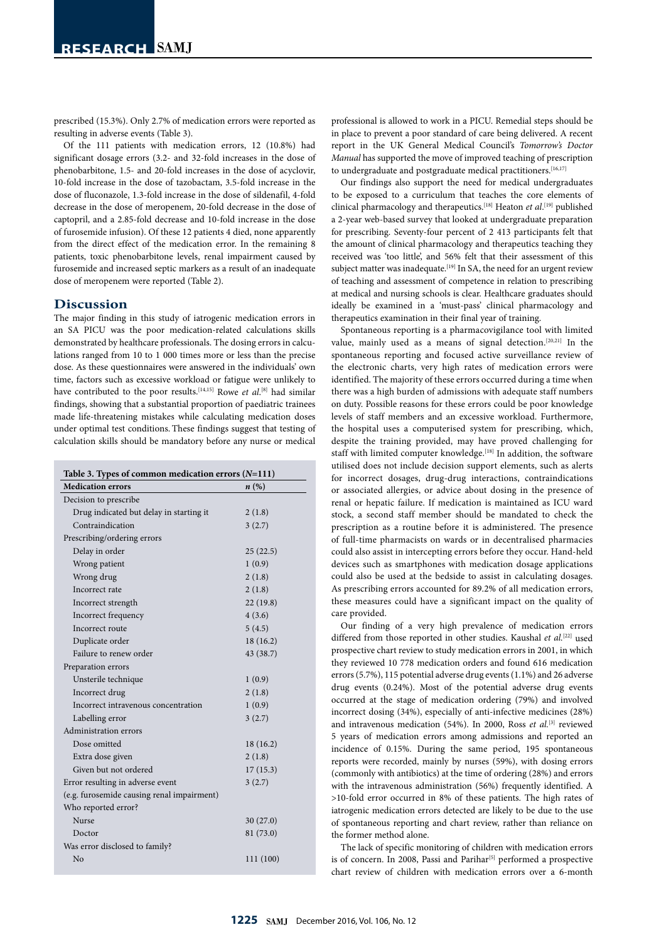prescribed (15.3%). Only 2.7% of medication errors were reported as resulting in adverse events (Table 3).

Of the 111 patients with medication errors, 12 (10.8%) had significant dosage errors (3.2- and 32-fold increases in the dose of phenobarbitone, 1.5- and 20-fold increases in the dose of acyclovir, 10-fold increase in the dose of tazobactam, 3.5-fold increase in the dose of fluconazole, 1.3-fold increase in the dose of sildenafil, 4-fold decrease in the dose of meropenem, 20-fold decrease in the dose of captopril, and a 2.85-fold decrease and 10-fold increase in the dose of furosemide infusion). Of these 12 patients 4 died, none apparently from the direct effect of the medication error. In the remaining 8 patients, toxic phenobarbitone levels, renal impairment caused by furosemide and increased septic markers as a result of an inadequate dose of meropenem were reported (Table 2).

### **Discussion**

The major finding in this study of iatrogenic medication errors in an SA PICU was the poor medication-related calculations skills demonstrated by healthcare professionals. The dosing errors in calculations ranged from 10 to 1 000 times more or less than the precise dose. As these questionnaires were answered in the individuals' own time, factors such as excessive workload or fatigue were unlikely to have contributed to the poor results.<sup>[14,15]</sup> Rowe *et al*.<sup>[8]</sup> had similar findings, showing that a substantial proportion of paediatric trainees made life-threatening mistakes while calculating medication doses under optimal test conditions. These findings suggest that testing of calculation skills should be mandatory before any nurse or medical

| Table 3. Types of common medication errors $(N=111)$ |                    |  |  |  |  |  |  |
|------------------------------------------------------|--------------------|--|--|--|--|--|--|
| <b>Medication errors</b>                             | $n\left(\%\right)$ |  |  |  |  |  |  |
| Decision to prescribe                                |                    |  |  |  |  |  |  |
| Drug indicated but delay in starting it              | 2(1.8)             |  |  |  |  |  |  |
| Contraindication                                     | 3(2.7)             |  |  |  |  |  |  |
| Prescribing/ordering errors                          |                    |  |  |  |  |  |  |
| Delay in order                                       | 25(22.5)           |  |  |  |  |  |  |
| Wrong patient                                        | 1(0.9)             |  |  |  |  |  |  |
| Wrong drug                                           | 2(1.8)             |  |  |  |  |  |  |
| Incorrect rate                                       | 2(1.8)             |  |  |  |  |  |  |
| Incorrect strength                                   | 22(19.8)           |  |  |  |  |  |  |
| Incorrect frequency                                  | 4(3.6)             |  |  |  |  |  |  |
| Incorrect route                                      | 5(4.5)             |  |  |  |  |  |  |
| Duplicate order                                      | 18(16.2)           |  |  |  |  |  |  |
| Failure to renew order                               | 43 (38.7)          |  |  |  |  |  |  |
| Preparation errors                                   |                    |  |  |  |  |  |  |
| Unsterile technique                                  | 1(0.9)             |  |  |  |  |  |  |
| Incorrect drug                                       | 2(1.8)             |  |  |  |  |  |  |
| Incorrect intravenous concentration                  | 1(0.9)             |  |  |  |  |  |  |
| Labelling error                                      | 3(2.7)             |  |  |  |  |  |  |
| Administration errors                                |                    |  |  |  |  |  |  |
| Dose omitted                                         | 18(16.2)           |  |  |  |  |  |  |
| Extra dose given                                     | 2(1.8)             |  |  |  |  |  |  |
| Given but not ordered                                | 17(15.3)           |  |  |  |  |  |  |
| Error resulting in adverse event                     | 3(2.7)             |  |  |  |  |  |  |
| (e.g. furosemide causing renal impairment)           |                    |  |  |  |  |  |  |
| Who reported error?                                  |                    |  |  |  |  |  |  |
| <b>Nurse</b>                                         | 30(27.0)           |  |  |  |  |  |  |
| Doctor                                               | 81 (73.0)          |  |  |  |  |  |  |
| Was error disclosed to family?                       |                    |  |  |  |  |  |  |
| No                                                   | 111 (100)          |  |  |  |  |  |  |

professional is allowed to work in a PICU. Remedial steps should be in place to prevent a poor standard of care being delivered. A recent report in the UK General Medical Council's *Tomorrow's Doctor Manual* has supported the move of improved teaching of prescription to undergraduate and postgraduate medical practitioners.<sup>[16,17]</sup>

Our findings also support the need for medical undergraduates to be exposed to a curriculum that teaches the core elements of clinical pharmacology and therapeutics.[18] Heaton *et al*. [19] published a 2-year web-based survey that looked at undergraduate preparation for prescribing. Seventy-four percent of 2 413 participants felt that the amount of clinical pharmacology and therapeutics teaching they received was 'too little', and 56% felt that their assessment of this subject matter was inadequate.<sup>[19]</sup> In SA, the need for an urgent review of teaching and assessment of competence in relation to prescribing at medical and nursing schools is clear. Healthcare graduates should ideally be examined in a 'must-pass' clinical pharmacology and therapeutics examination in their final year of training.

Spontaneous reporting is a pharmacovigilance tool with limited value, mainly used as a means of signal detection.[20,21] In the spontaneous reporting and focused active surveillance review of the electronic charts, very high rates of medication errors were identified. The majority of these errors occurred during a time when there was a high burden of admissions with adequate staff numbers on duty. Possible reasons for these errors could be poor knowledge levels of staff members and an excessive workload. Furthermore, the hospital uses a computerised system for prescribing, which, despite the training provided, may have proved challenging for staff with limited computer knowledge.<sup>[18]</sup> In addition, the software utilised does not include decision support elements, such as alerts for incorrect dosages, drug-drug interactions, contraindications or associated allergies, or advice about dosing in the presence of renal or hepatic failure. If medication is maintained as ICU ward stock, a second staff member should be mandated to check the prescription as a routine before it is administered. The presence of full-time pharmacists on wards or in decentralised pharmacies could also assist in intercepting errors before they occur. Hand-held devices such as smartphones with medication dosage applications could also be used at the bedside to assist in calculating dosages. As prescribing errors accounted for 89.2% of all medication errors, these measures could have a significant impact on the quality of care provided.

Our finding of a very high prevalence of medication errors differed from those reported in other studies. Kaushal et al.<sup>[22]</sup> used prospective chart review to study medication errors in 2001, in which they reviewed 10 778 medication orders and found 616 medication errors (5.7%), 115 potential adverse drug events (1.1%) and 26 adverse drug events (0.24%). Most of the potential adverse drug events occurred at the stage of medication ordering (79%) and involved incorrect dosing (34%), especially of anti-infective medicines (28%) and intravenous medication (54%). In 2000, Ross *et al.*[3] reviewed 5 years of medication errors among admissions and reported an incidence of 0.15%. During the same period, 195 spontaneous reports were recorded, mainly by nurses (59%), with dosing errors (commonly with antibiotics) at the time of ordering (28%) and errors with the intravenous administration (56%) frequently identified. A >10-fold error occurred in 8% of these patients. The high rates of iatrogenic medication errors detected are likely to be due to the use of spontaneous reporting and chart review, rather than reliance on the former method alone.

The lack of specific monitoring of children with medication errors is of concern. In 2008, Passi and Parihar<sup>[5]</sup> performed a prospective chart review of children with medication errors over a 6-month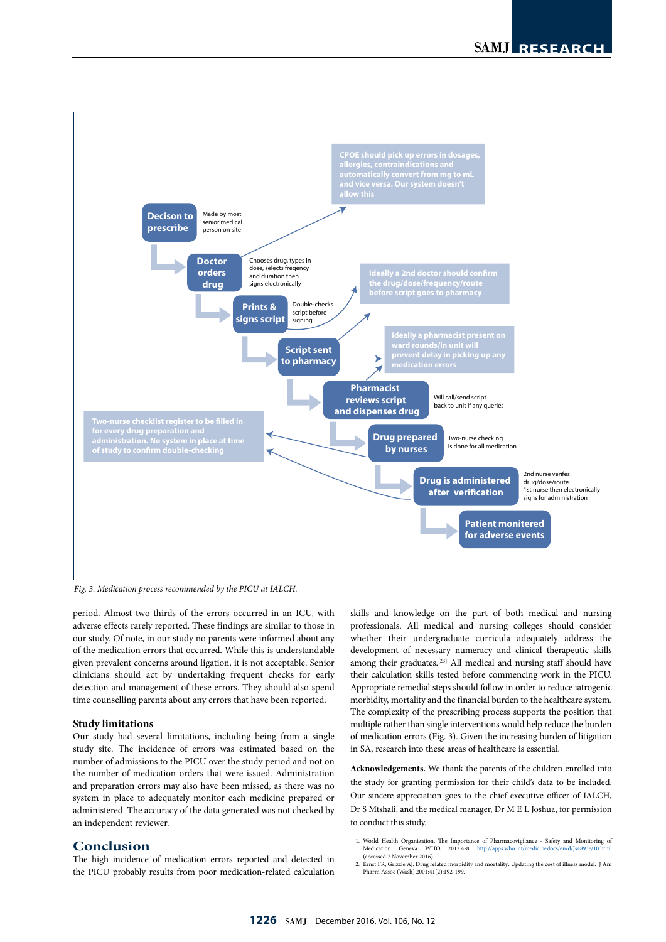

*Fig. 3. Medication process recommended by the PICU at IALCH.*

period. Almost two-thirds of the errors occurred in an ICU, with adverse effects rarely reported. These findings are similar to those in our study. Of note, in our study no parents were informed about any of the medication errors that occurred. While this is understandable given prevalent concerns around ligation, it is not acceptable. Senior clinicians should act by undertaking frequent checks for early detection and management of these errors. They should also spend time counselling parents about any errors that have been reported.

#### **Study limitations**

Our study had several limitations, including being from a single study site. The incidence of errors was estimated based on the number of admissions to the PICU over the study period and not on the number of medication orders that were issued. Administration and preparation errors may also have been missed, as there was no system in place to adequately monitor each medicine prepared or administered. The accuracy of the data generated was not checked by an independent reviewer.

### **Conclusion**

The high incidence of medication errors reported and detected in the PICU probably results from poor medication-related calculation skills and knowledge on the part of both medical and nursing professionals. All medical and nursing colleges should consider whether their undergraduate curricula adequately address the development of necessary numeracy and clinical therapeutic skills among their graduates.[23] All medical and nursing staff should have their calculation skills tested before commencing work in the PICU. Appropriate remedial steps should follow in order to reduce iatrogenic morbidity, mortality and the financial burden to the healthcare system. The complexity of the prescribing process supports the position that multiple rather than single interventions would help reduce the burden of medication errors (Fig. 3). Given the increasing burden of litigation in SA, research into these areas of healthcare is essential.

**Acknowledgements.** We thank the parents of the children enrolled into the study for granting permission for their child's data to be included. Our sincere appreciation goes to the chief executive officer of IALCH, Dr S Mtshali, and the medical manager, Dr M E L Joshua, for permission to conduct this study.

1. World Health Organization. The Importance of Pharmacovigilance - Safety and Monitoring of Medication. Geneva: WHO, 2012:4-8. http://apps.who.int/medicinedocs/en/d/Js4893e/10.html (accessed 7 November 2016).

2. Ernst FR, Grizzle AJ. Drug related morbidity and mortality: Updating the cost of illness model. J Am Pharm Assoc (Wash) 2001;41(2):192-199.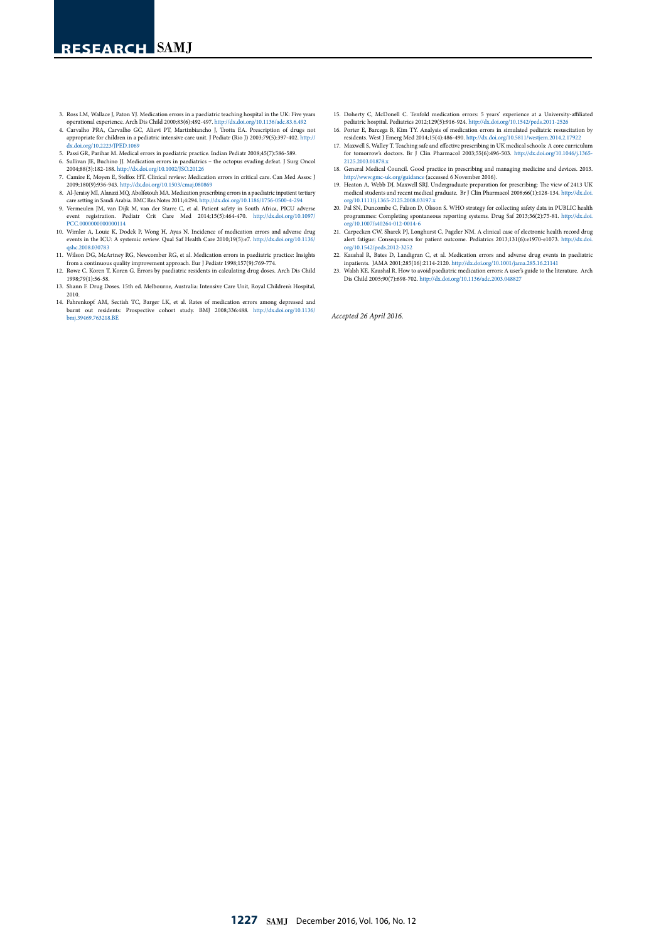- 3. Ross LM, Wallace J, Paton YJ. Medication errors in a paediatric teaching hospital in the UK: Five years
- operational experience. Arch Dis Child 2000;83(6):492-497. http://dx.doi.org/10.1136/adc.83.6.492 4. Carvalho PRA, Carvalho GC, Alievi PT, Martinbiancho J, Trotta EA. Prescription of drugs not appropriate for children in a pediatric intensive care unit. J Pediatr (Rio J) 2003;79(5):397-402. http://
- dx.doi.org/10.2223/JPED.1069 5. Passi GR, Parihar M. Medical errors in paediatric practice. Indian Pediatr 2008;45(7):586-589.
- 6. Sullivan JE, Buchino JJ. Medication errors in paediatrics the octopus evading defeat. J Surg Oncol 2004;88(3):182-188. http://dx.doi.org/10.1002/JSO.20126
- 7. Camire E, Moyen E, Stelfox HT. Clinical review: Medication errors in critical care. Can Med Assoc J 2009;180(9):936-943. http://dx.doi.org/10.1503/cmaj.080869 8. Al-Jeraisy MI, Alanazi MQ, Abolfotouh MA. Medication prescribing errors in a paediatric inpatient tertiary
- care setting in Saudi Arabia. BMC Res Notes 2011;4:294. http://dx.doi.org/10.1186/1756-0500-4-294
- 9. Vermeulen JM, van Dijk M, van der Starre C, et al. Patient safety in South Africa, PICU adverse event registration. Pediatr Crit Care Med 2014;15(5):464-470. http://dx.doi.org/10.1097/ PCC.0000000000000114
- 10. Wimler A, Louie K, Dodek P, Wong H, Ayas N. Incidence of medication errors and adverse drug events in the ICU: A systemic review. Qual Saf Health Care 2010;19(5):e7. http://dx.doi.org/10.1136/
- qshc.2008.030783 11. Wilson DG, McArtney RG, Newcomber RG, et al. Medication errors in paediatric practice: Insights from a continuous quality improvement approach. Eur J Pediatr 1998;157(9):769-774.
- 12. Rowe C, Koren T, Koren G. Errors by paediatric residents in calculating drug doses. Arch Dis Child 1998;79(1):56-58.
- 13. Shann F. Drug Doses. 15th ed. Melbourne, Australia: Intensive Care Unit, Royal Children's Hospital, 2010.
- 14. Fahrenkopf AM, Sectish TC, Barger LK, et al. Rates of medication errors among depressed and burnt out residents: Prospective cohort study. BMJ 2008;336:488. http://dx.doi.org/10.1136/ bmj.39469.763218.BE
- 15. Doherty C, McDonell C. Tenfold medication errors: 5 years' experience at a University-affiliated pediatric hospital. [Pediatrics](https://www.ncbi.nlm.nih.gov/pubmed/22473367) 2012;129(5):916-924. http://dx.doi.org/10.1542/peds.2011-2526 16. Porter E, Barcega B, Kim TY. Analysis of medication errors in simulated pediatric resuscitation by
- residents. West J Emerg Med 2014;15(4):486-490. http://dx.doi.org/10.5811/westjem.2014.2.17922 17. Maxwell S, Walley T. Teaching safe and effective prescribing in UK medical schools: A core curriculum
- for tomorrow's doctors. Br J Clin Pharmacol 2003;55(6):496-503. http://dx.doi.org/10.1046/j.1365- 2125.2003.01878.x
- 18. General Medical Council. Good practice in prescribing and managing medicine and devices. 2013. http://www.gmc-uk.org/guidance (accessed 6 November 2016).
- 19. Heaton A, Webb DJ, Maxwell SRJ. Undergraduate preparation for prescribing: The view of 2413 UK medical students and recent medical graduate. Br J Clin Pharmacol 2008;66(1):128-134. http://dx.doi. org/10.1111/j.1365-2125.2008.03197.x
- 20. Pal SN, Duncombe C, Falzon D, Olsson S. WHO strategy for collecting safety data in PUBLIC health programmes: Completing spontaneous reporting systems. Drug Saf 2013;36(2):75-81. http://dx.doi.<br>org/10.1007/s40264-012-00
- 21. Carpecken CW, Sharek PJ, Longhurst C, Pageler NM. A clinical case of electronic health record drug alert fatigue: Consequences for patient outcome. Pediatrics 2013;131(6):e1970-e1073. http://dx.doi org/10.1542/peds.2012-3252
- 22. Kaushal R, Bates D, Landigran C, et al. Medication errors and adverse drug events in paediatric
- inpatients. JAMA 2001;285(16):2114-2120. http://dx.doi.org/10.1001/jama.285.16.21141 23. Walsh KE, Kaushal R. How to avoid paediatric medication errors: A user's guide to the literature. Arch Dis Child 2005;90(7):698-702. http://dx.doi.org/10.1136/adc.2003.048827

*Accepted 26 April 2016.*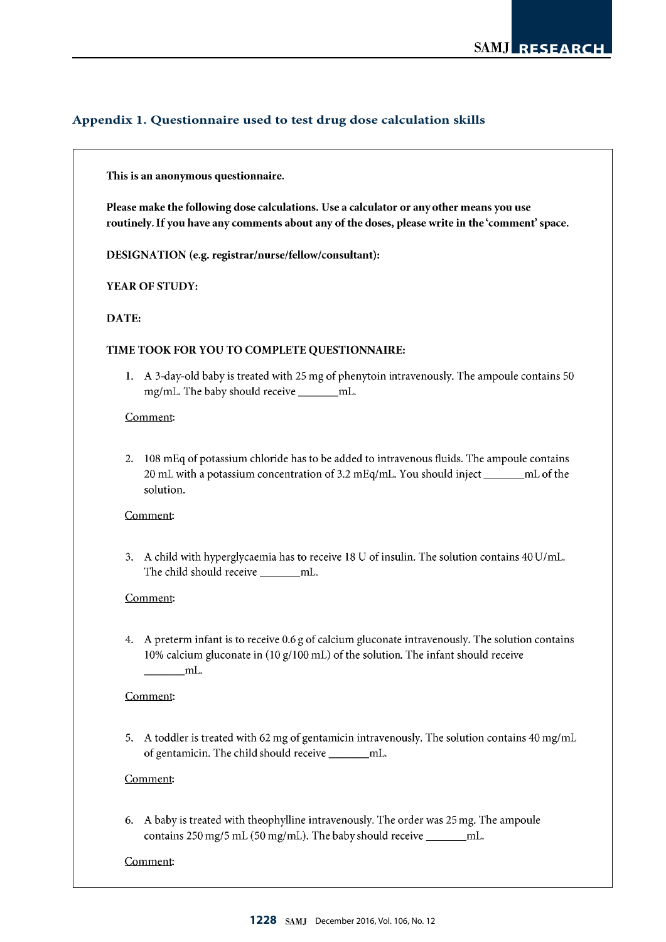# Appendix 1. Questionnaire used to test drug dose calculation skills

# This is an anonymous questionnaire.

Please make the following dose calculations. Use a calculator or any other means you use routinely. If you have any comments about any of the doses, please write in the 'comment' space.

DESIGNATION (e.g. registrar/nurse/fellow/consultant):

YEAR OF STUDY:

# DATE:

# TIME TOOK FOR YOU TO COMPLETE QUESTIONNAIRE:

1. A 3-day-old baby is treated with 25 mg of phenytoin intravenously. The ampoule contains 50 mg/mL. The baby should receive \_\_\_\_\_\_\_\_mL.

### Comment:

2. 108 mEq of potassium chloride has to be added to intravenous fluids. The ampoule contains 20 mL with a potassium concentration of 3.2 mEq/mL. You should inject \_\_\_\_\_\_ mL of the solution.

# Comment:

3. A child with hyperglycaemia has to receive 18 U of insulin. The solution contains 40 U/mL. The child should receive \_\_\_\_\_\_\_ mL.

### Comment:

4. A preterm infant is to receive 0.6 g of calcium gluconate intravenously. The solution contains 10% calcium gluconate in (10 g/100 mL) of the solution. The infant should receive  $mL$ .

### Comment:

5. A toddler is treated with 62 mg of gentamicin intravenously. The solution contains 40 mg/mL of gentamicin. The child should receive \_\_\_\_\_\_\_ mL.

# Comment:

6. A baby is treated with theophylline intravenously. The order was 25 mg. The ampoule contains 250 mg/5 mL (50 mg/mL). The baby should receive \_\_\_\_\_\_\_ mL.

# Comment: